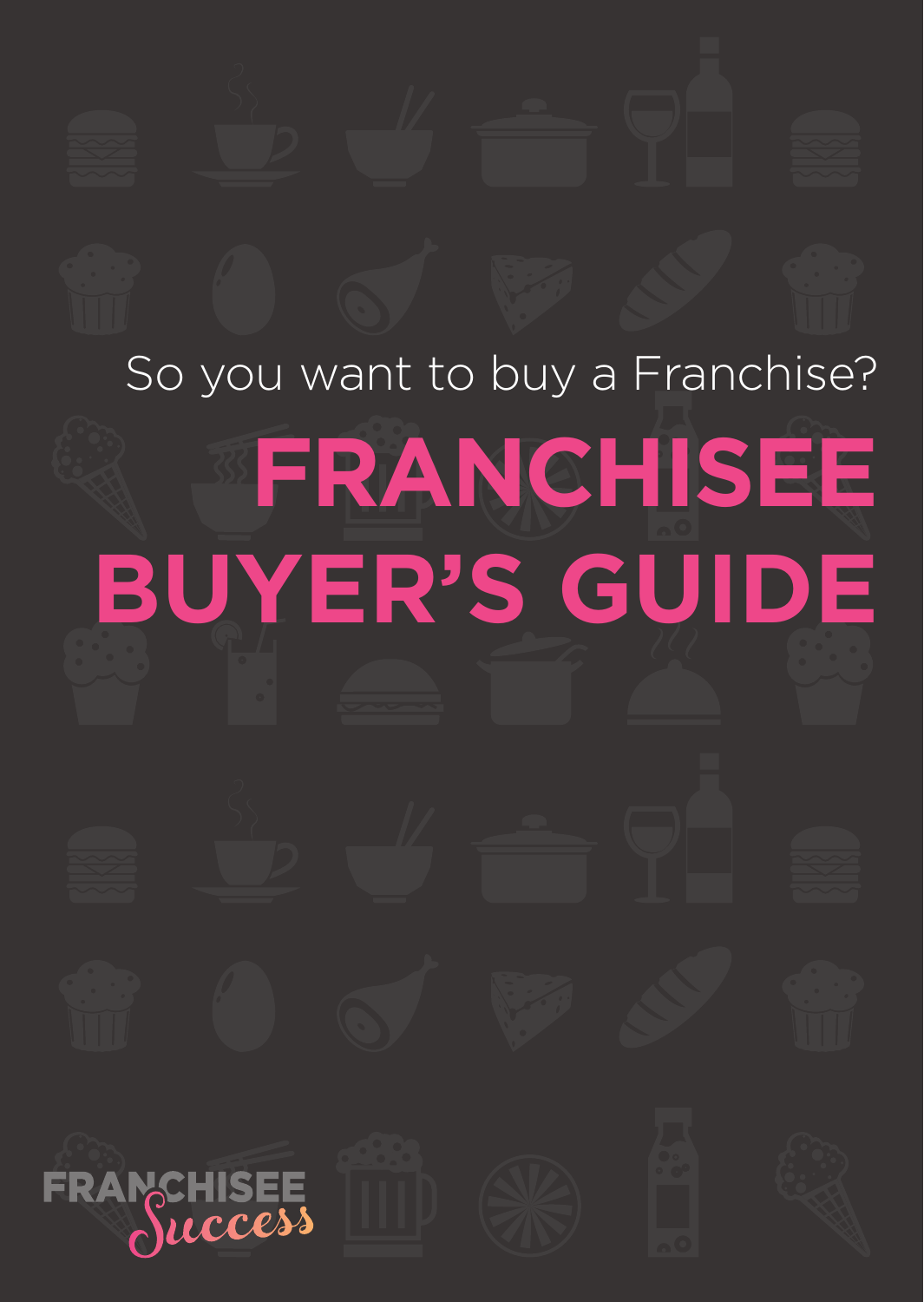# So you want to buy a Franchise? **FRANCHISEE BUYER'S GUIDEFRANCHISEE** ruccess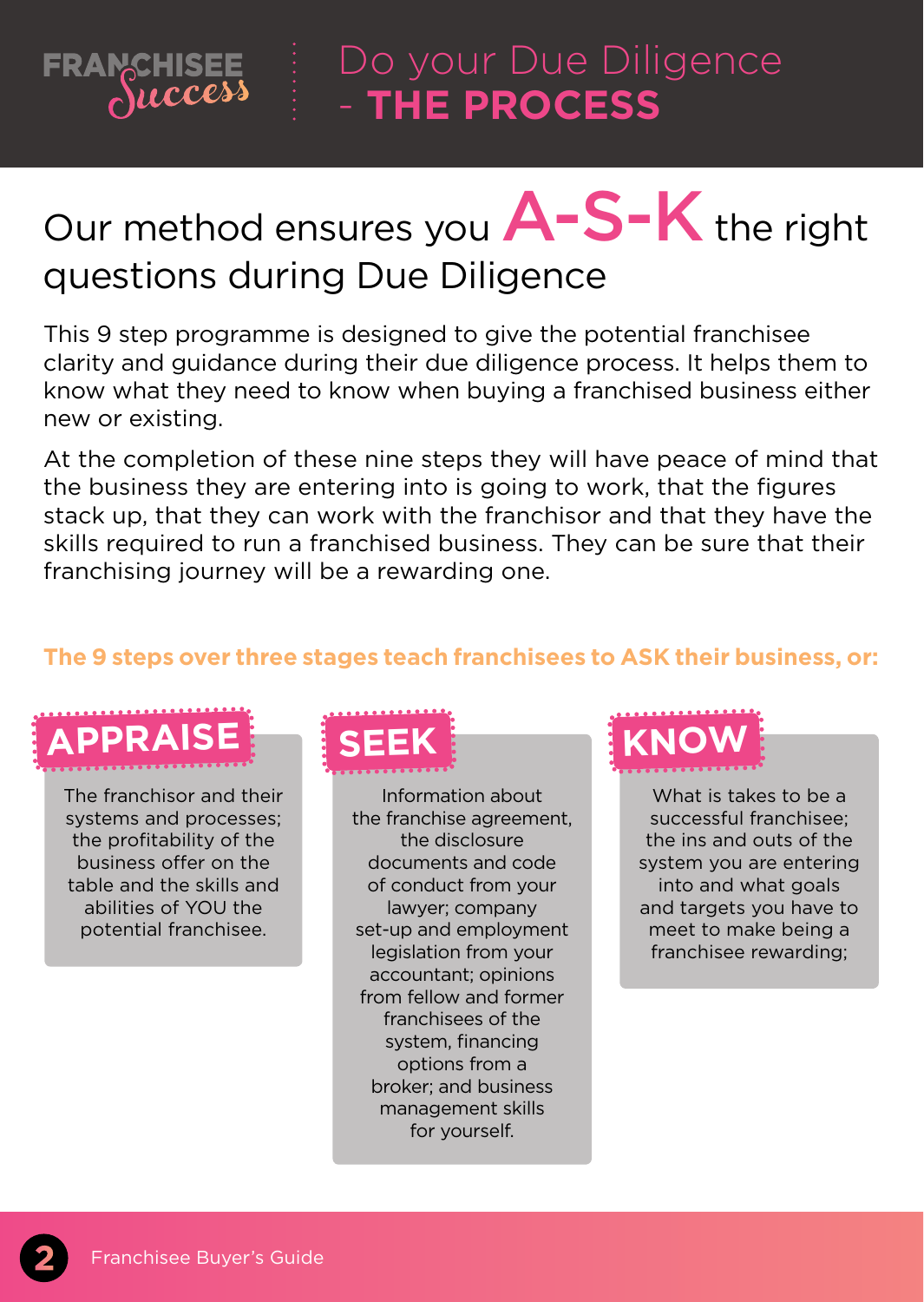### **FRANCHISEE**  $\lambda$ uccess - **THE PROCESS**

# Our method ensures you  $A-S-K$  the right questions during Due Diligence

This 9 step programme is designed to give the potential franchisee clarity and guidance during their due diligence process. It helps them to know what they need to know when buying a franchised business either new or existing.

At the completion of these nine steps they will have peace of mind that the business they are entering into is going to work, that the figures stack up, that they can work with the franchisor and that they have the skills required to run a franchised business. They can be sure that their franchising journey will be a rewarding one.

### **The 9 steps over three stages teach franchisees to ASK their business, or:**



The franchisor and their systems and processes; the profitability of the business offer on the table and the skills and abilities of YOU the potential franchisee.

Information about the franchise agreement, the disclosure documents and code of conduct from your lawyer; company set-up and employment legislation from your accountant; opinions from fellow and former franchisees of the system, financing options from a broker; and business management skills for yourself.

What is takes to be a successful franchisee; the ins and outs of the system you are entering into and what goals and targets you have to meet to make being a franchisee rewarding;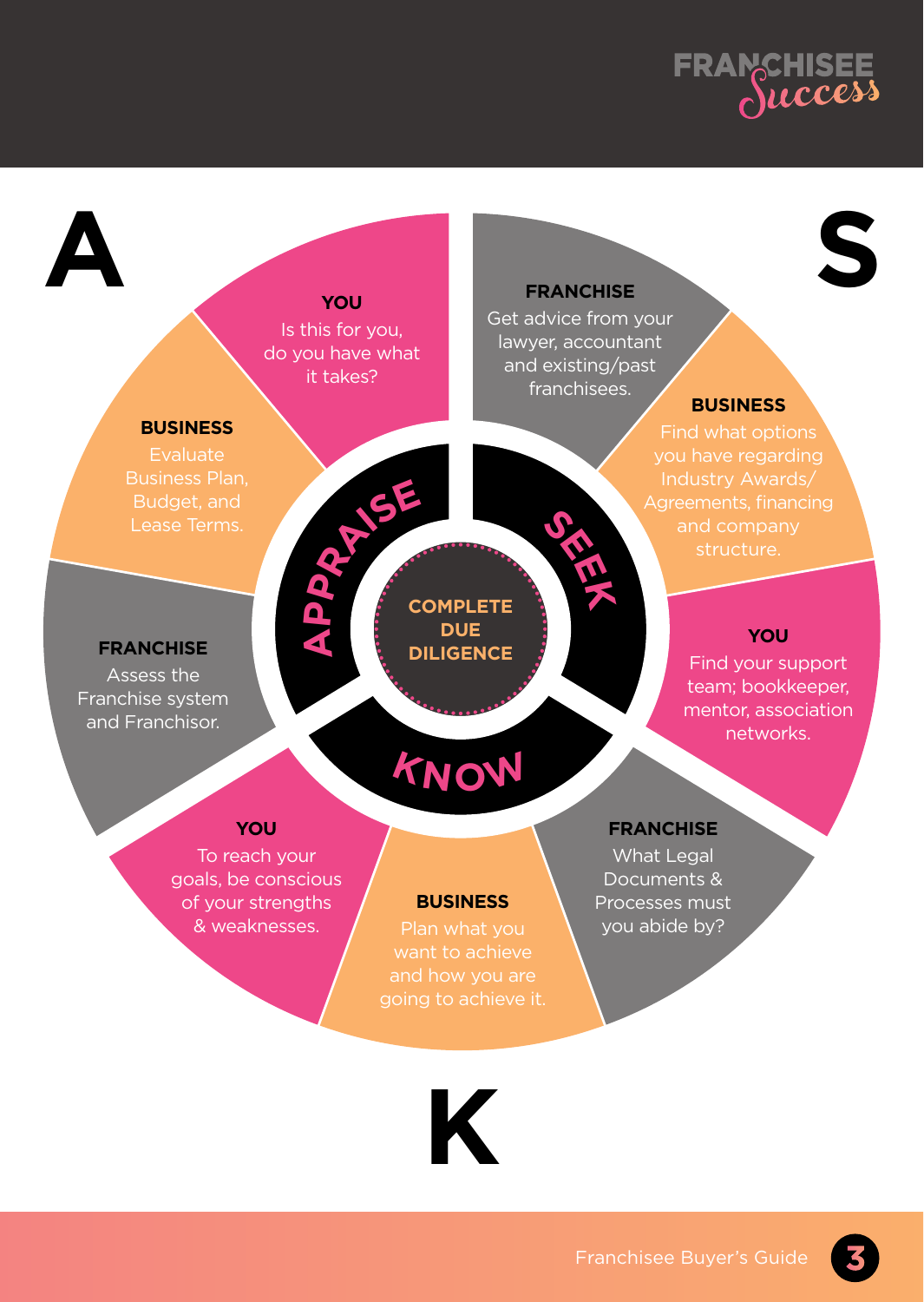

**S**

# **A**

### **you**

Is this for you, do you have what it takes?

> **A p**

### **franchise**

Get advice from your lawyer, accountant and existing/past franchisees.

**seek**

### **business**

**business**

**franchise** Assess the Franchise system and Franchisor.

# **praise**

### **COMPLETE DUE DILIGENCE**

### **you**

Find your support team; bookkeeper, mentor, association networks.

### **you**

To reach your goals, be conscious of your strengths & weaknesses.

### **business**

**Know**

### **franchise**

What Legal Documents & Processes must you abide by?

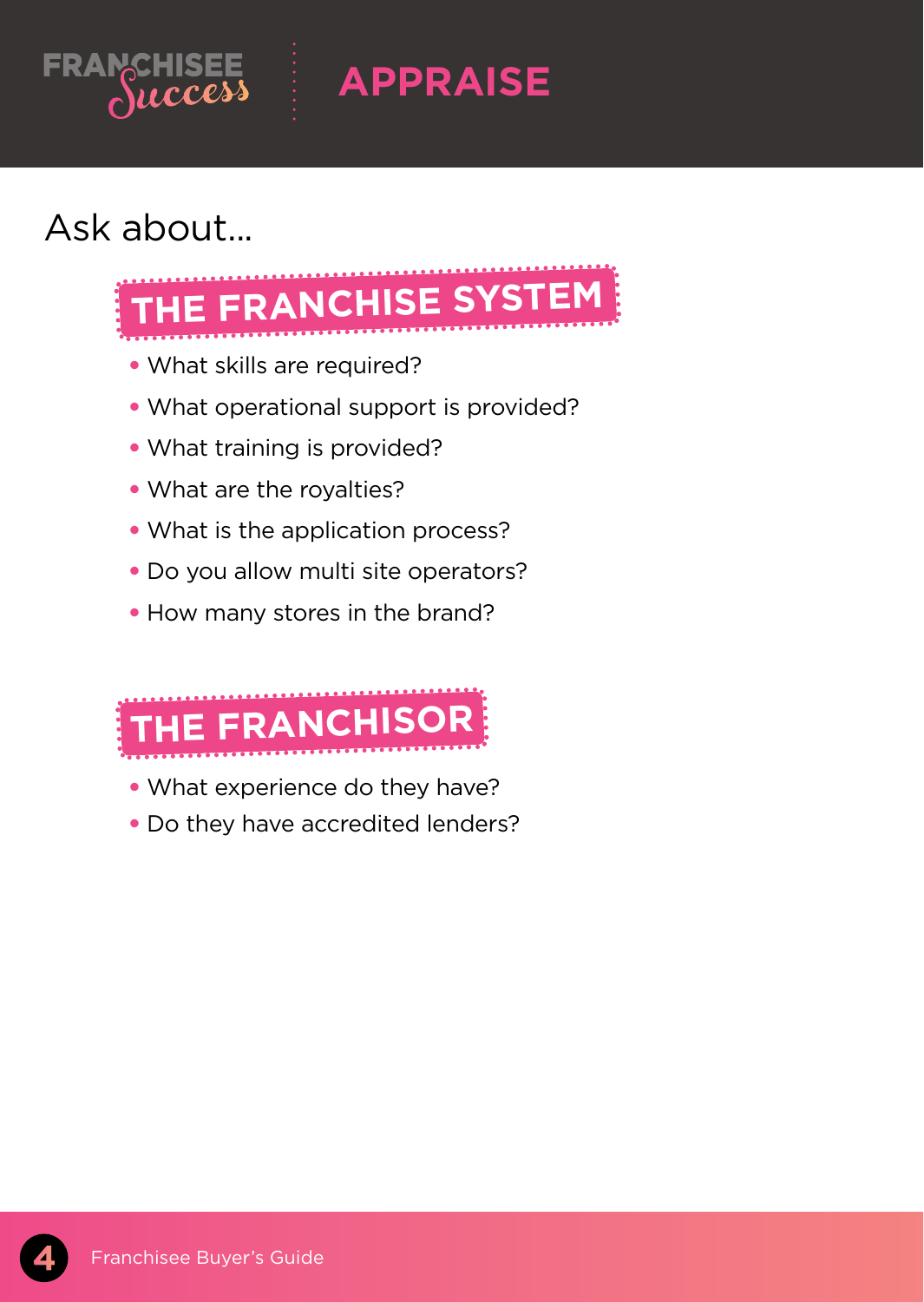

**APPRAISE**

# Ask about...



- What skills are required?
- What operational support is provided?
- What training is provided?
- What are the royalties?
- What is the application process?
- Do you allow multi site operators?
- How many stores in the brand?



- What experience do they have?
- Do they have accredited lenders?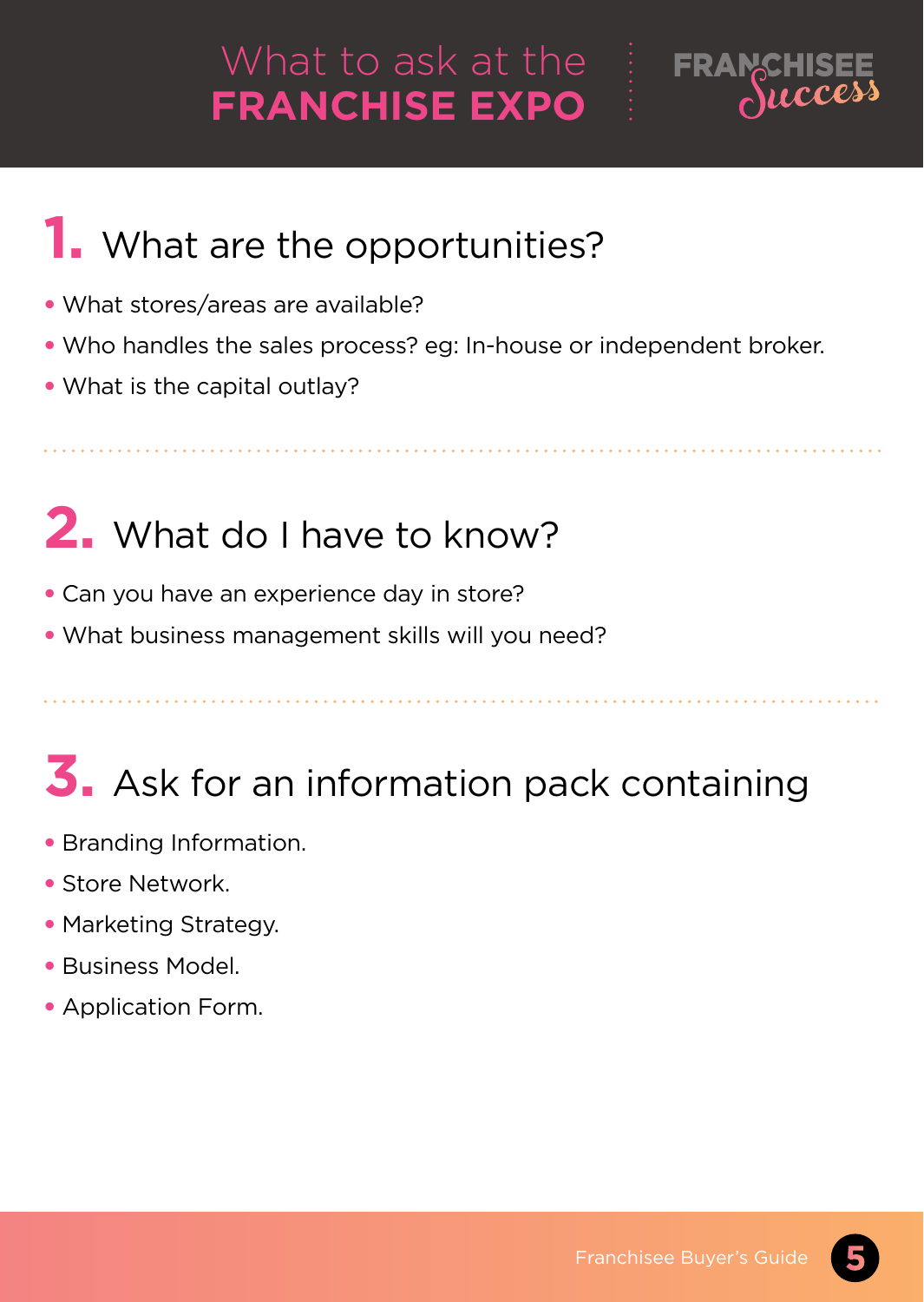# What to ask at the **FRANCHISE EXPO**



# **1.** What are the opportunities?

- What stores/areas are available?
- Who handles the sales process? eg: In-house or independent broker.
- What is the capital outlay?

# **2.** What do I have to know?

- Can you have an experience day in store?
- What business management skills will you need?

# **3.** Ask for an information pack containing

- Branding Information.
- Store Network.
- Marketing Strategy.
- Business Model.
- Application Form.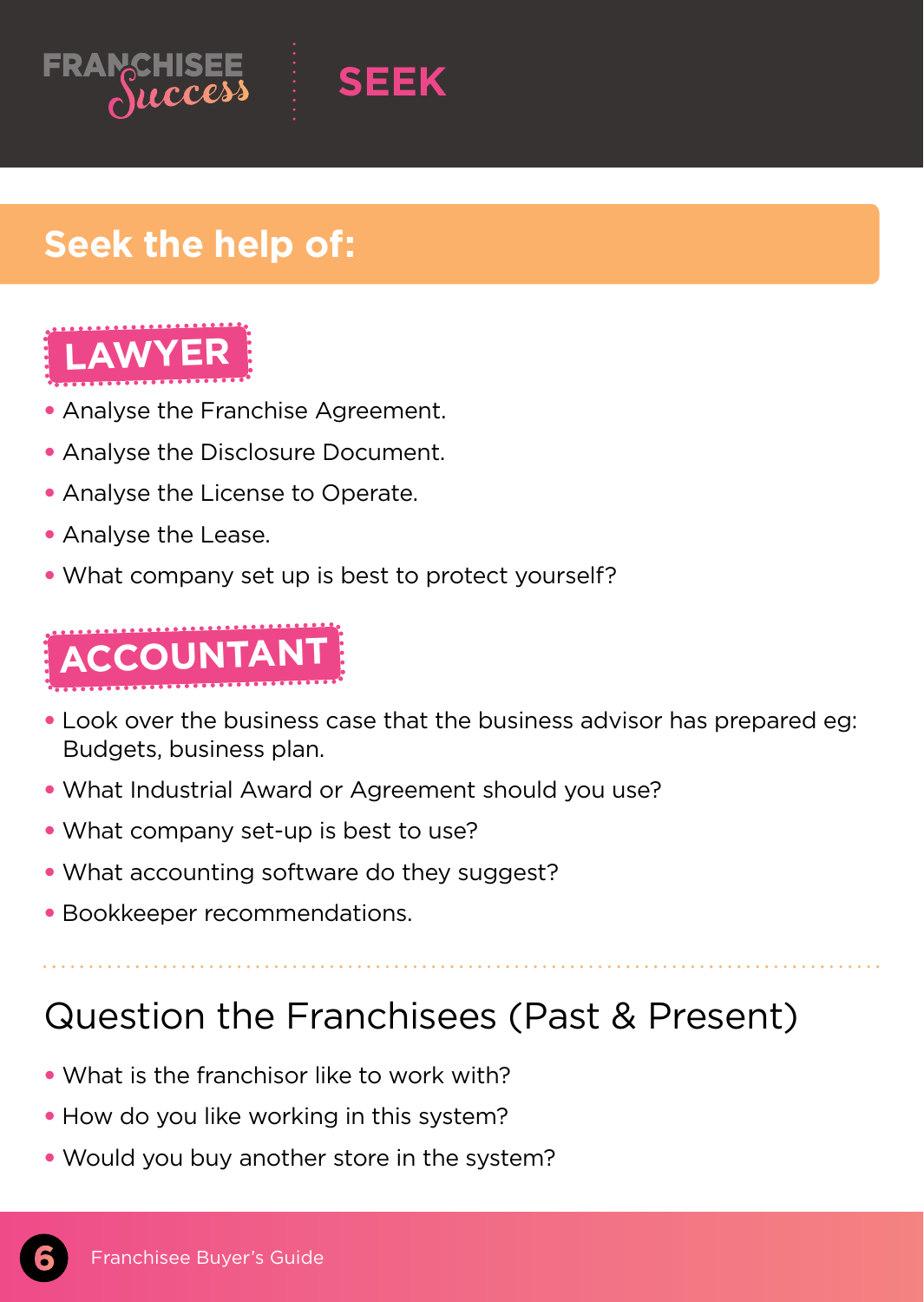



# **Seek the help of:**



- Analyse the Franchise Agreement.
- Analyse the Disclosure Document.
- Analyse the License to Operate.
- Analyse the Lease.
- What company set up is best to protect yourself?



- Look over the business case that the business advisor has prepared eg: Budgets, business plan.
- What Industrial Award or Agreement should you use?
- What company set-up is best to use?
- What accounting software do they suggest?
- Bookkeeper recommendations.

# Question the Franchisees (Past & Present)

- What is the franchisor like to work with?
- How do you like working in this system?
- Would you buy another store in the system?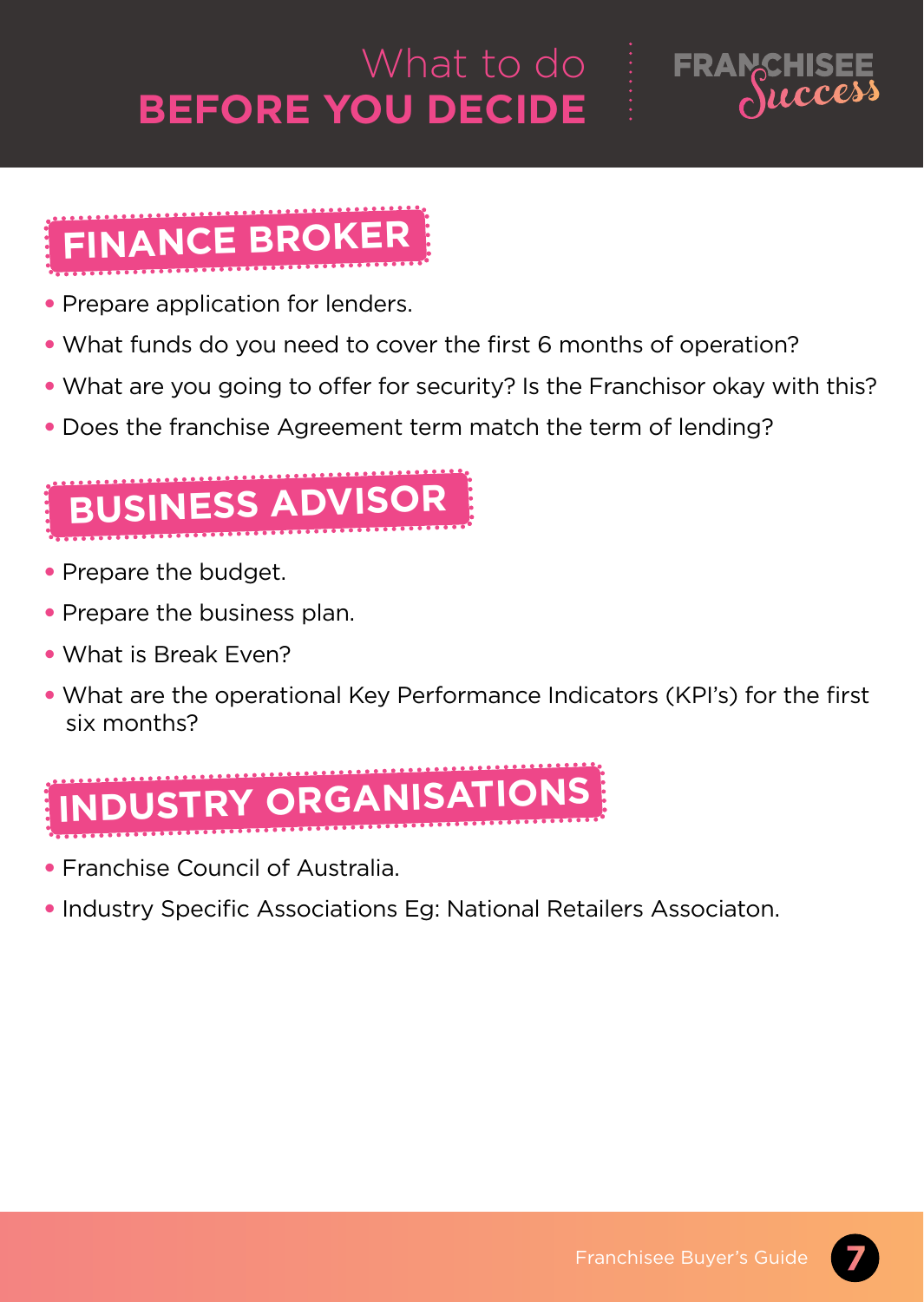# What to do **BEFORE you decide**



# **Finance broker**

- Prepare application for lenders.
- What funds do you need to cover the first 6 months of operation?
- What are you going to offer for security? Is the Franchisor okay with this?
- Does the franchise Agreement term match the term of lending?

# **business advisor**

- Prepare the budget.
- Prepare the business plan.
- What is Break Even?
- What are the operational Key Performance Indicators (KPI's) for the first six months?

# **industry organisations**

- Franchise Council of Australia.
- Industry Specific Associations Eg: National Retailers Associaton.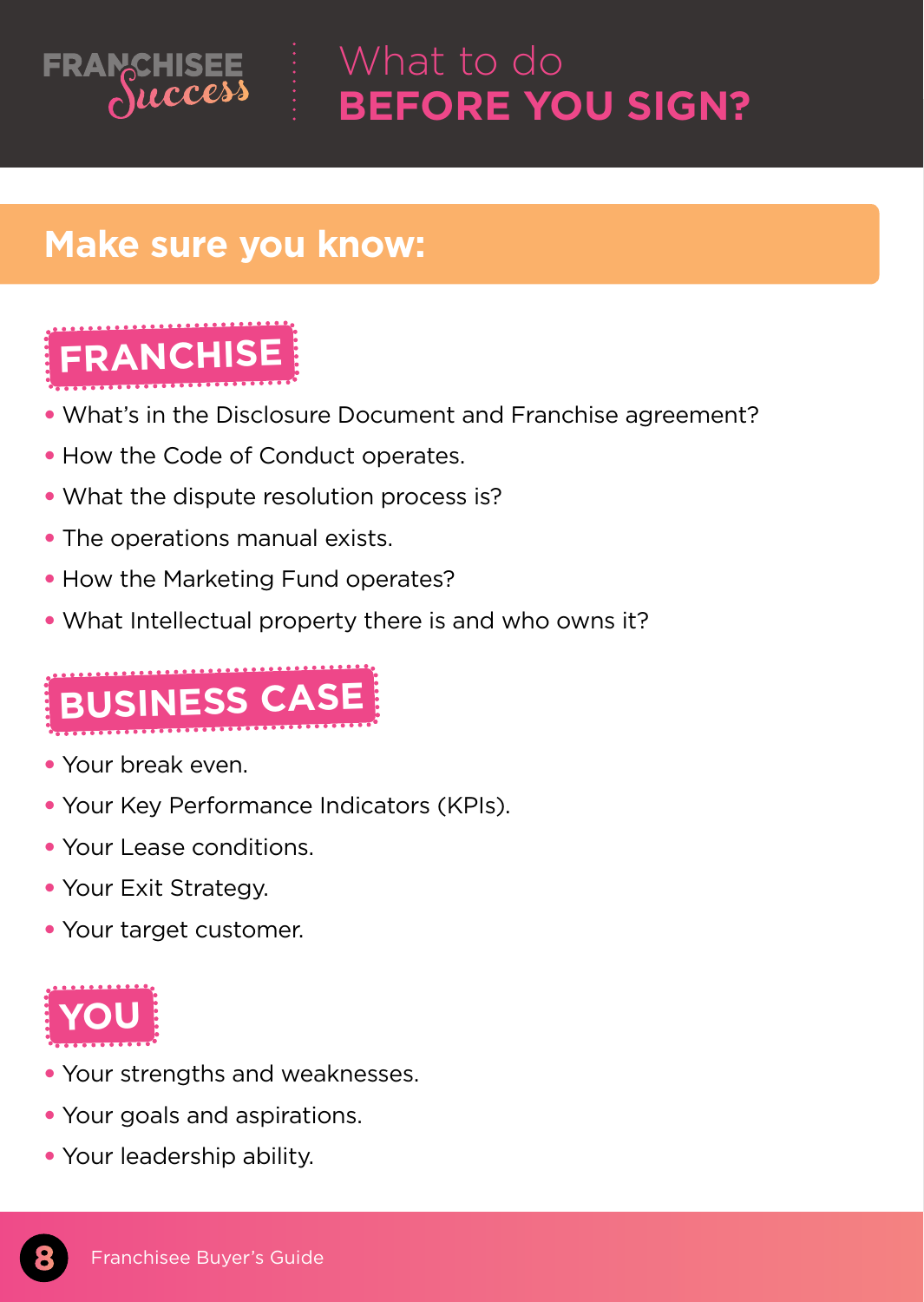

# What to do **before you sign?**

### **Make sure you know:**



- What's in the Disclosure Document and Franchise agreement?
- How the Code of Conduct operates.
- What the dispute resolution process is?
- The operations manual exists.
- How the Marketing Fund operates?
- What Intellectual property there is and who owns it?



- Your break even.
- Your Key Performance Indicators (KPIs).
- Your Lease conditions.
- Your Exit Strategy.
- Your target customer.



- Your strengths and weaknesses.
- Your goals and aspirations.
- Your leadership ability.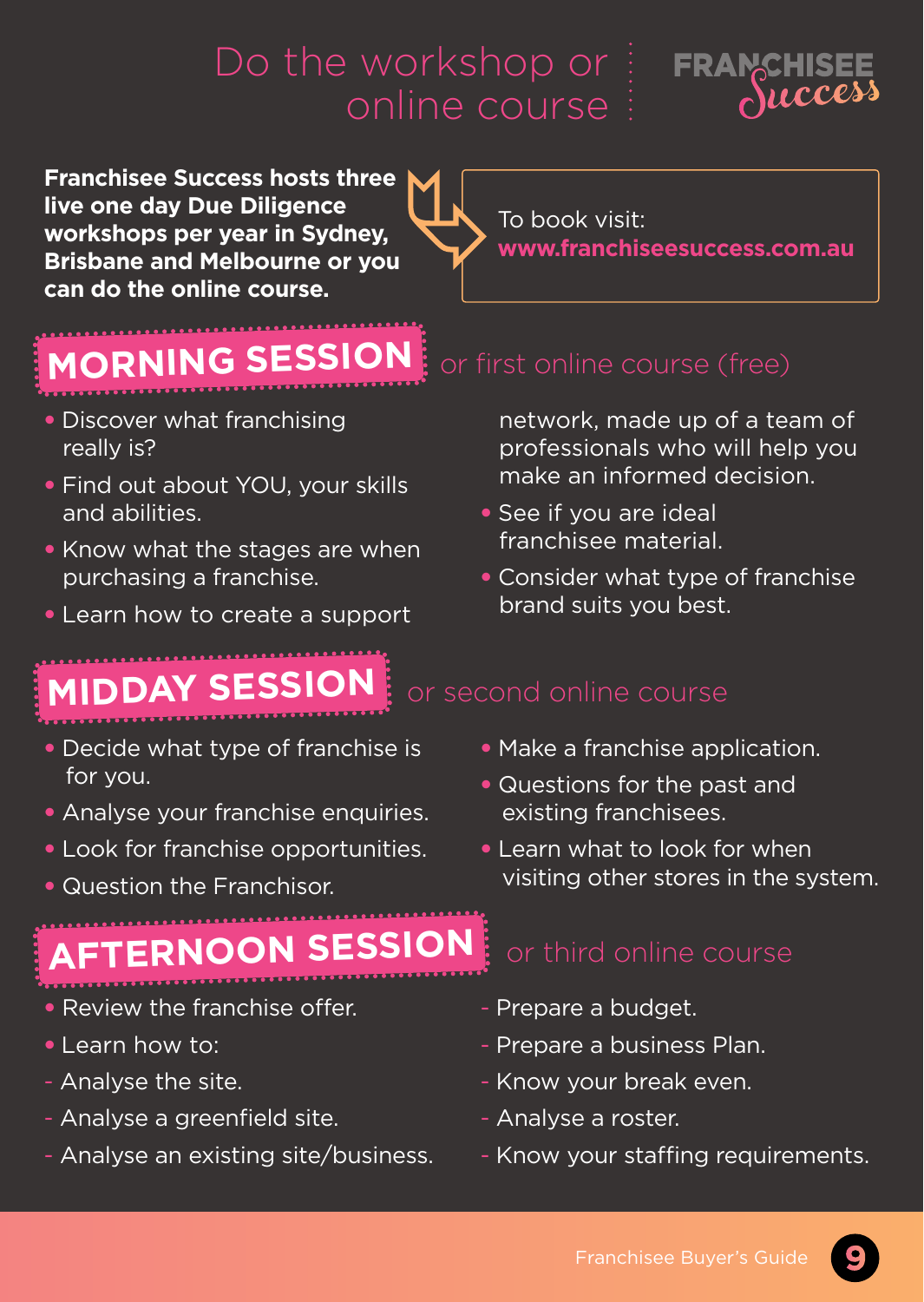

**Franchisee Success hosts three live one day Due Diligence workshops per year in Sydney, Brisbane and Melbourne or you can do the online course.**

To book visit: **www.franchiseesuccess.com.au**

# **morning session**

- Discover what franchising really is?
- Find out about YOU, your skills and abilities.
- Know what the stages are when purchasing a franchise.
- Learn how to create a support

# **MIDDAY session**

- Decide what type of franchise is for you.
- Analyse your franchise enquiries.
- Look for franchise opportunities.
- Question the Franchisor.

# **afternoon session**

- Review the franchise offer.
- Learn how to:
- Analyse the site.
- Analyse a greenfield site.
- Analyse an existing site/business.

network, made up of a team of professionals who will help you make an informed decision.

- See if you are ideal franchisee material.
- Consider what type of franchise brand suits you best.

### • Make a franchise application.

- Questions for the past and existing franchisees.
- Learn what to look for when visiting other stores in the system.

- Prepare a budget.
- Prepare a business Plan.
- Know your break even.
- Analyse a roster.
- Know your staffing requirements.

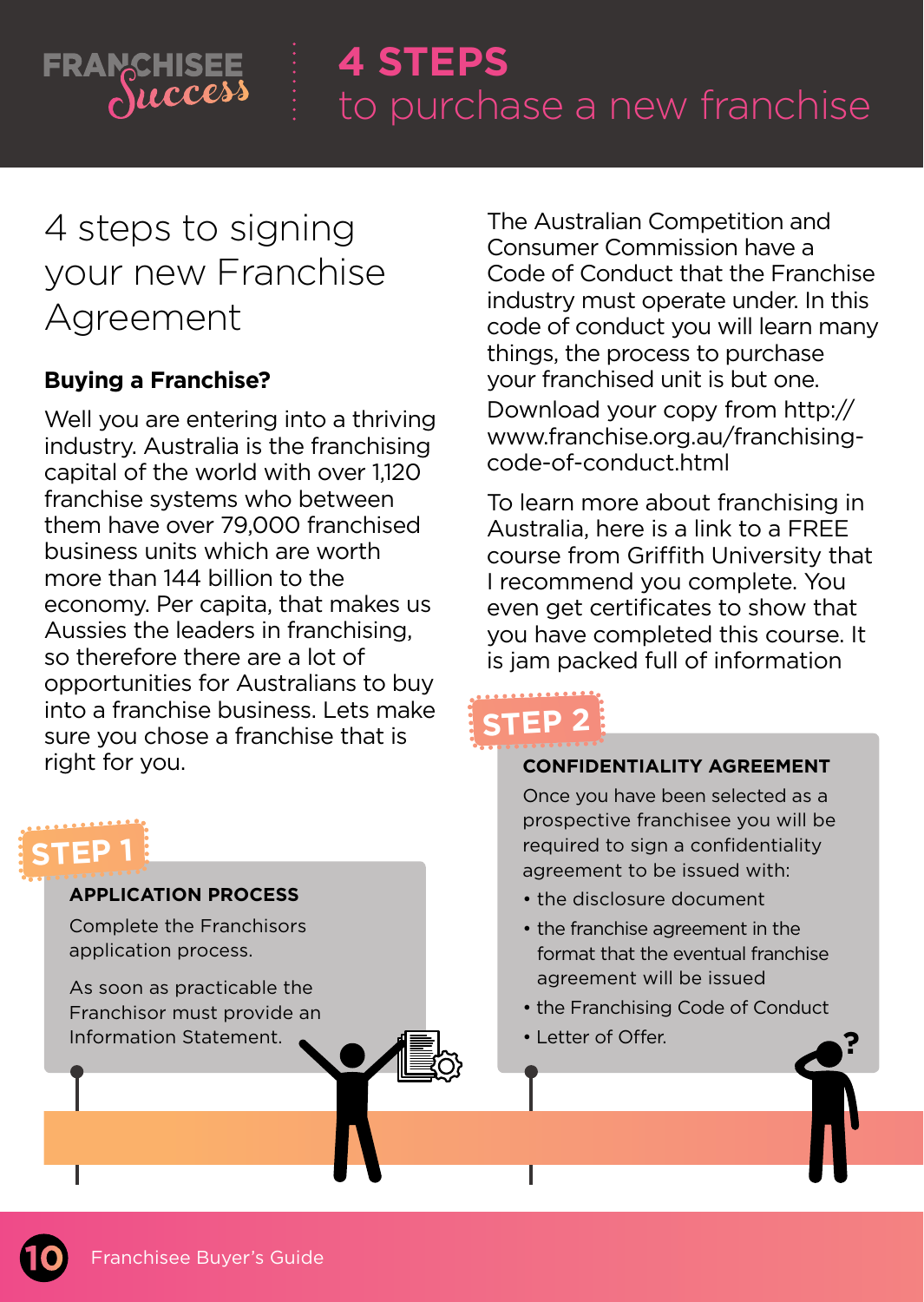

# **4 STEPS**

# 4 steps to signing your new Franchise Agreement

### **Buying a Franchise?**

Well you are entering into a thriving industry. Australia is the franchising capital of the world with over 1,120 franchise systems who between them have over 79,000 franchised business units which are worth more than 144 billion to the economy. Per capita, that makes us Aussies the leaders in franchising, so therefore there are a lot of opportunities for Australians to buy into a franchise business. Lets make sure you chose a franchise that is right for you.



The Australian Competition and Consumer Commission have a Code of Conduct that the Franchise industry must operate under. In this code of conduct you will learn many things, the process to purchase your franchised unit is but one. Download your copy from http:// www.franchise.org.au/franchisingcode-of-conduct.html

To learn more about franchising in Australia, here is a link to a FREE course from Griffith University that I recommend you complete. You even get certificates to show that you have completed this course. It is jam packed full of information

# **Step 2**

### **confidentiality agreement**

Once you have been selected as a prospective franchisee you will be required to sign a confidentiality agreement to be issued with:

- the disclosure document
- the franchise agreement in the format that the eventual franchise agreement will be issued
- the Franchising Code of Conduct

**?**

• Letter of Offer. **?**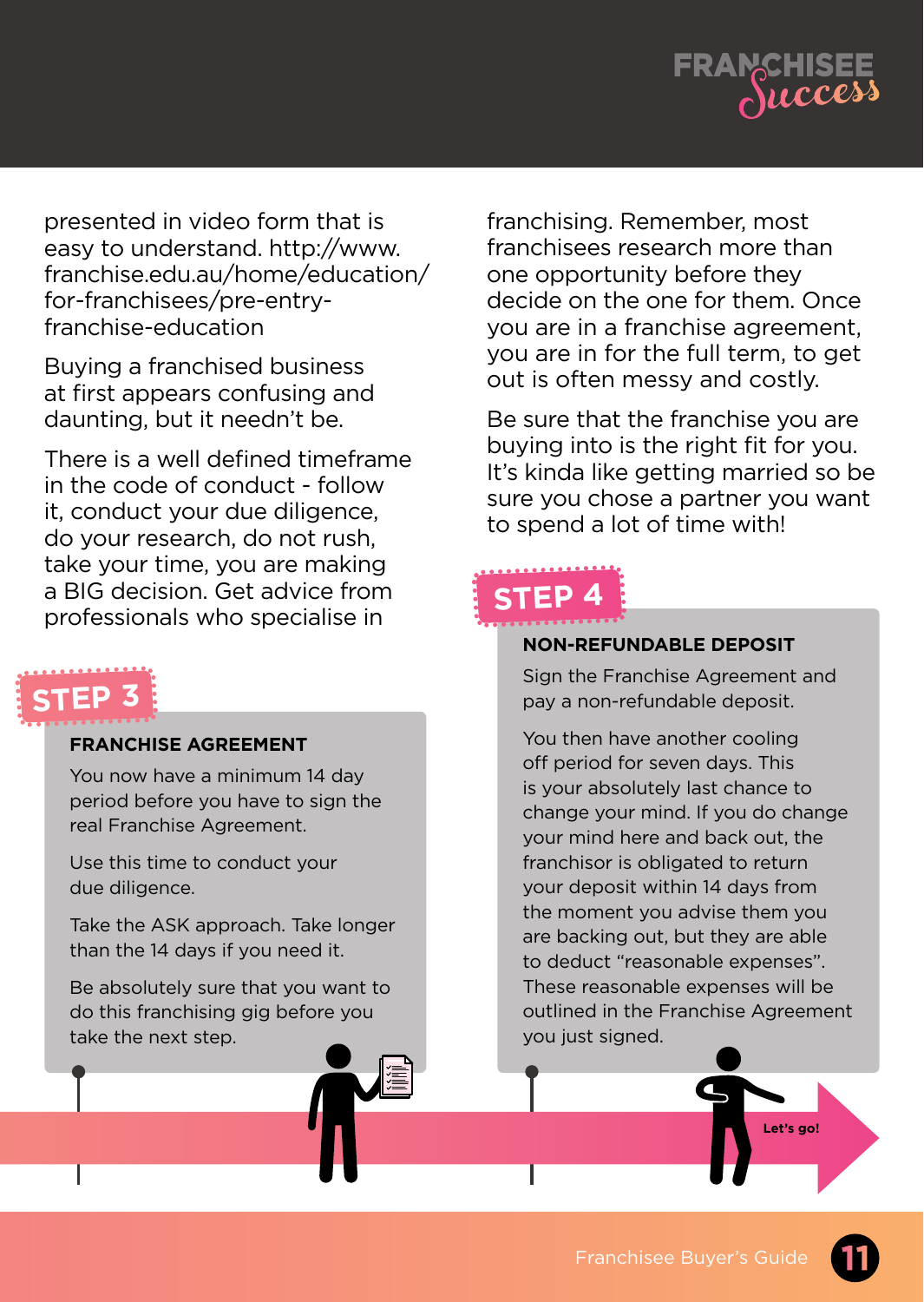

presented in video form that is easy to understand. http://www. franchise.edu.au/home/education/ for-franchisees/pre-entryfranchise-education

Buying a franchised business at first appears confusing and daunting, but it needn't be.

There is a well defined timeframe in the code of conduct - follow it, conduct your due diligence, do your research, do not rush, take your time, you are making a BIG decision. Get advice from professionals who specialise in

# **Step 3**

### **Franchise Agreement**

You now have a minimum 14 day period before you have to sign the real Franchise Agreement.

Use this time to conduct your due diligence.

Take the ASK approach. Take longer than the 14 days if you need it.

Be absolutely sure that you want to do this franchising gig before you take the next step. **?**

franchising. Remember, most franchisees research more than one opportunity before they decide on the one for them. Once you are in a franchise agreement, you are in for the full term, to get out is often messy and costly.

Be sure that the franchise you are buying into is the right fit for you. It's kinda like getting married so be sure you chose a partner you want to spend a lot of time with!

# **step 4**

### **non-refundable deposit**

Sign the Franchise Agreement and pay a non-refundable deposit.

You then have another cooling off period for seven days. This is your absolutely last chance to change your mind. If you do change your mind here and back out, the franchisor is obligated to return your deposit within 14 days from the moment you advise them you are backing out, but they are able to deduct "reasonable expenses". These reasonable expenses will be outlined in the Franchise Agreement you just signed.

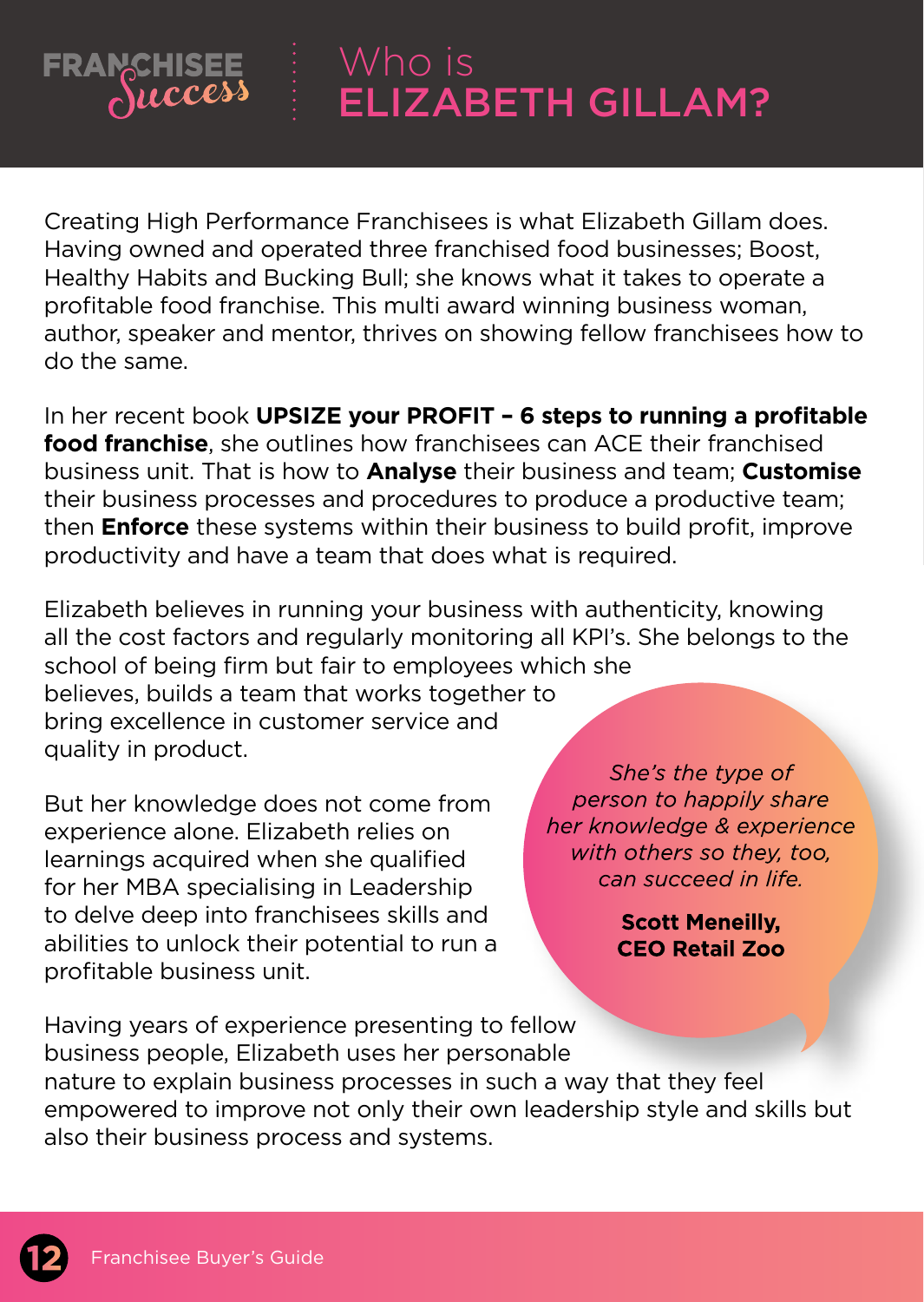### Who is **FRANCHISEE** Success ELIZABETH GILLAM?

Creating High Performance Franchisees is what Elizabeth Gillam does. Having owned and operated three franchised food businesses; Boost, Healthy Habits and Bucking Bull; she knows what it takes to operate a profitable food franchise. This multi award winning business woman, author, speaker and mentor, thrives on showing fellow franchisees how to do the same.

In her recent book **UPSIZE your PROFIT – 6 steps to running a profitable food franchise**, she outlines how franchisees can ACE their franchised business unit. That is how to **Analyse** their business and team; **Customise** their business processes and procedures to produce a productive team; then **Enforce** these systems within their business to build profit, improve productivity and have a team that does what is required.

Elizabeth believes in running your business with authenticity, knowing all the cost factors and regularly monitoring all KPI's. She belongs to the school of being firm but fair to employees which she believes, builds a team that works together to

bring excellence in customer service and quality in product.

But her knowledge does not come from experience alone. Elizabeth relies on learnings acquired when she qualified for her MBA specialising in Leadership to delve deep into franchisees skills and abilities to unlock their potential to run a profitable business unit.

She's the type of person to happily share her knowledge & experience with others so they, too. can succeed in life.

> **Scott Meneilly. CEO Retail Zoo**

Having years of experience presenting to fellow business people, Elizabeth uses her personable nature to explain business processes in such a way that they feel empowered to improve not only their own leadership style and skills but also their business process and systems.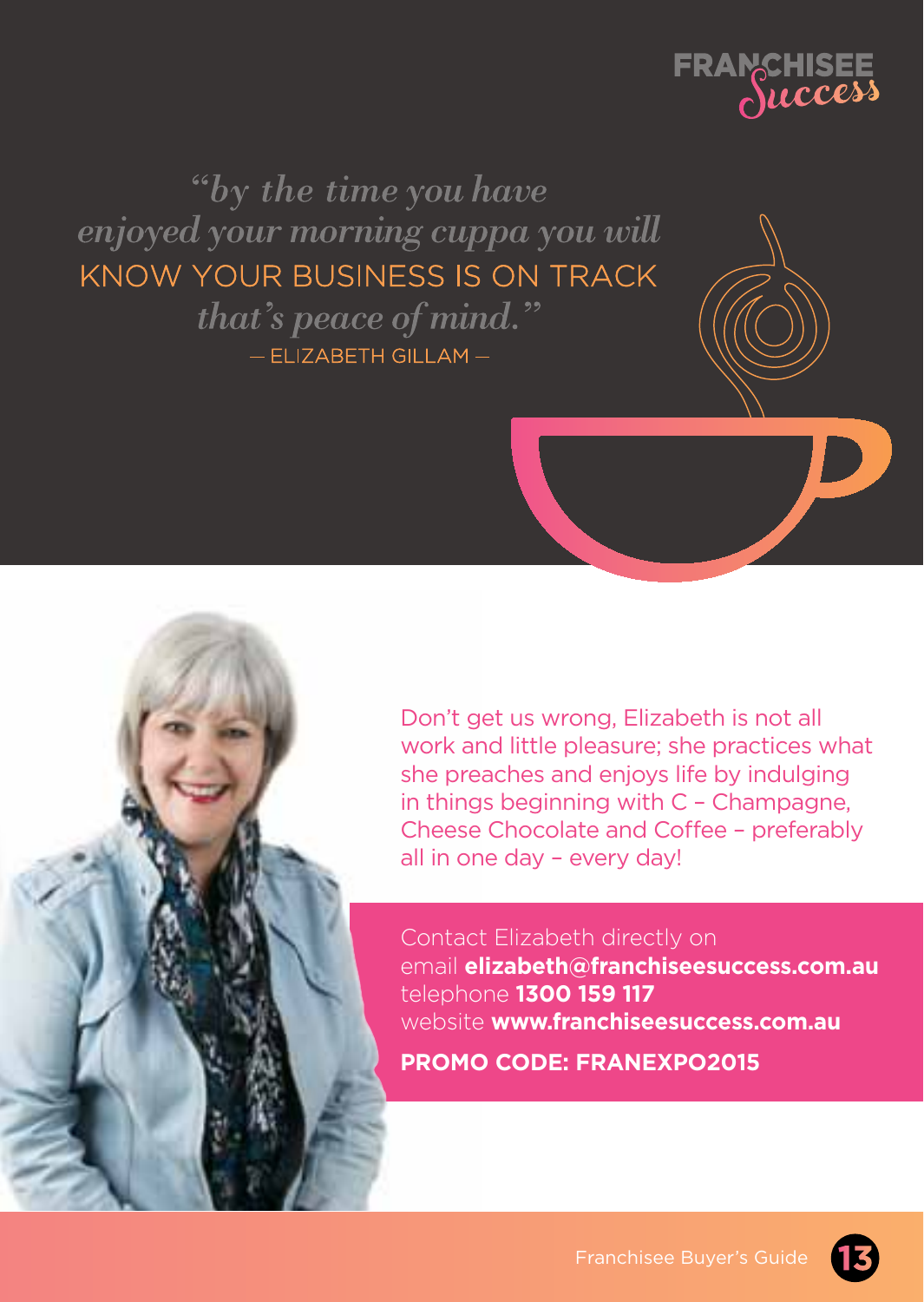

"by the time you have enjoyed your morning cuppa you will KNOW YOUR BUSINESS IS ON TRACK that's peace of mind." - ELIZABETH GILLAM-

> Don't get us wrong, Elizabeth is not all work and little pleasure; she practices what she preaches and enjoys life by indulging in things beginning with C – Champagne, Cheese Chocolate and Coffee – preferably all in one day – every day!

> Contact Elizabeth directly on email **elizabeth@franchiseesuccess.com.au** telephone **1300 159 117** website **www.franchiseesuccess.com.au PROMO CODE: FRANEXPO2015**

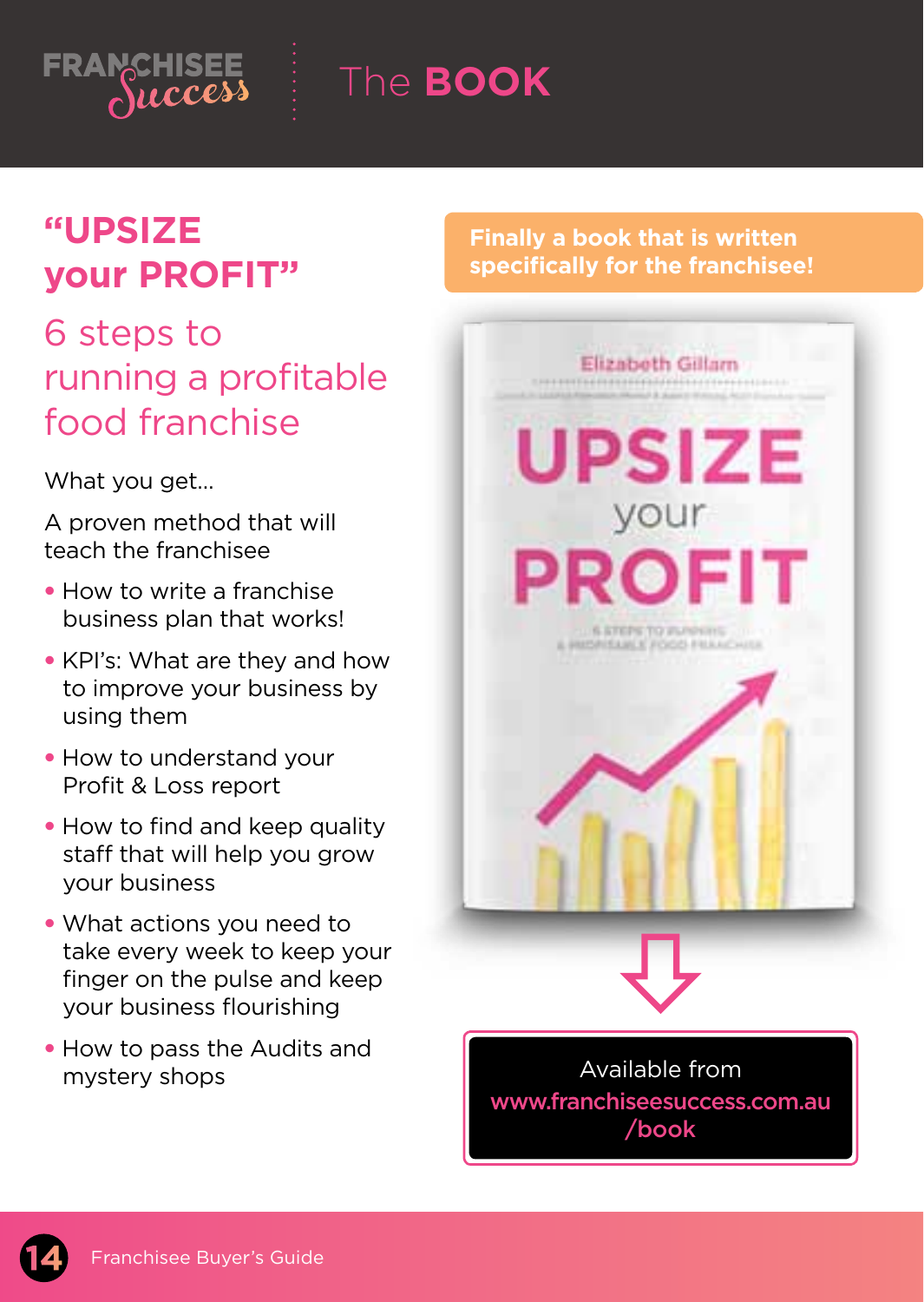

The **BOOK**

# **"UPSIZE your PROFIT"**

# 6 steps to running a profitable food franchise

What you get.

A proven method that will teach the franchisee

- How to write a franchise business plan that works!
- KPI's: What are they and how to improve your business by using them
- How to understand your Profit & Loss report
- How to find and keep quality staff that will help you grow your business
- What actions you need to take every week to keep your finger on the pulse and keep your business flourishing
- How to pass the Audits and mystery shops

### **Finally a book that is written specifically for the franchisee!**



**14** Franchisee Buyer's Guide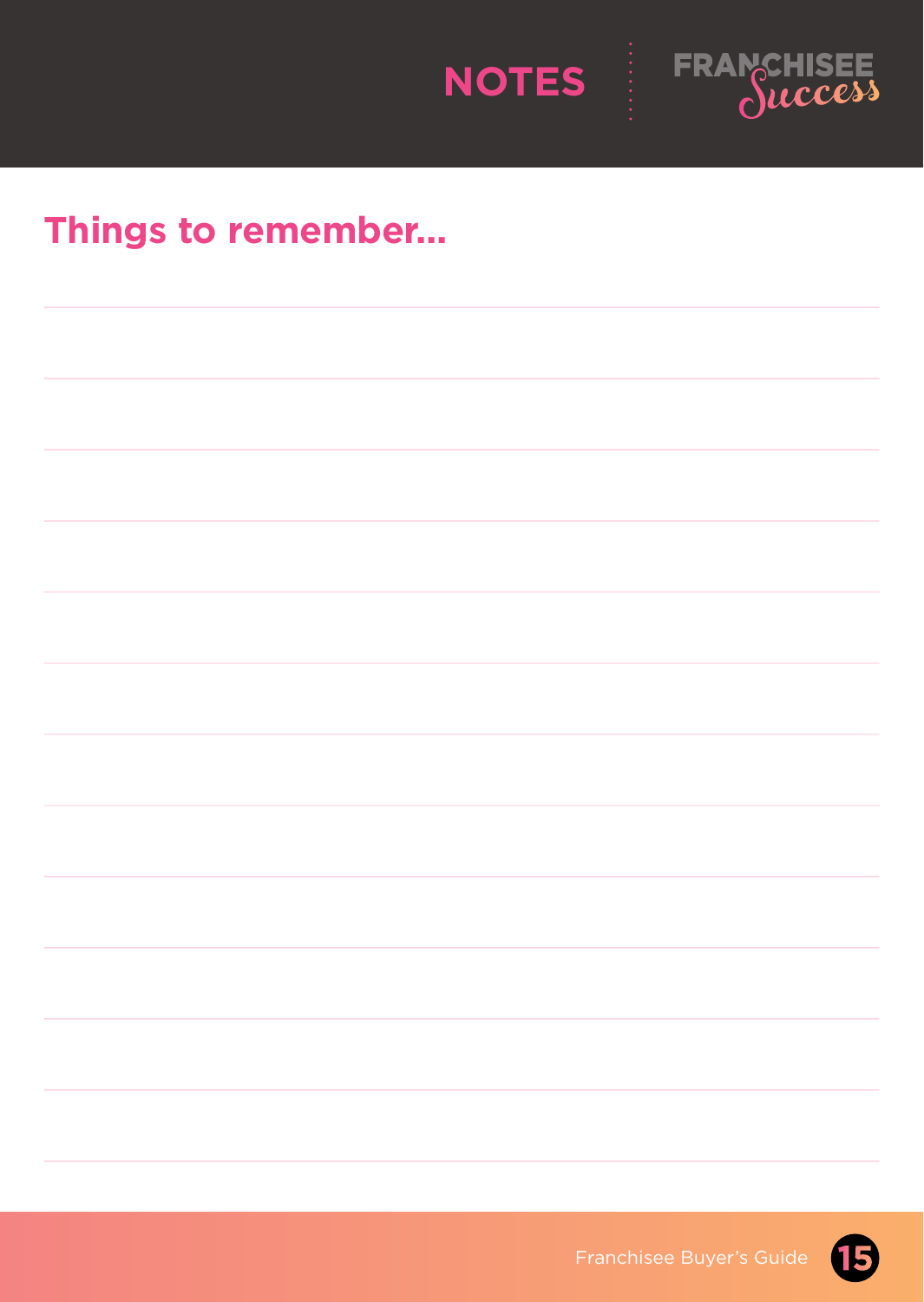



### **Things to remember...**